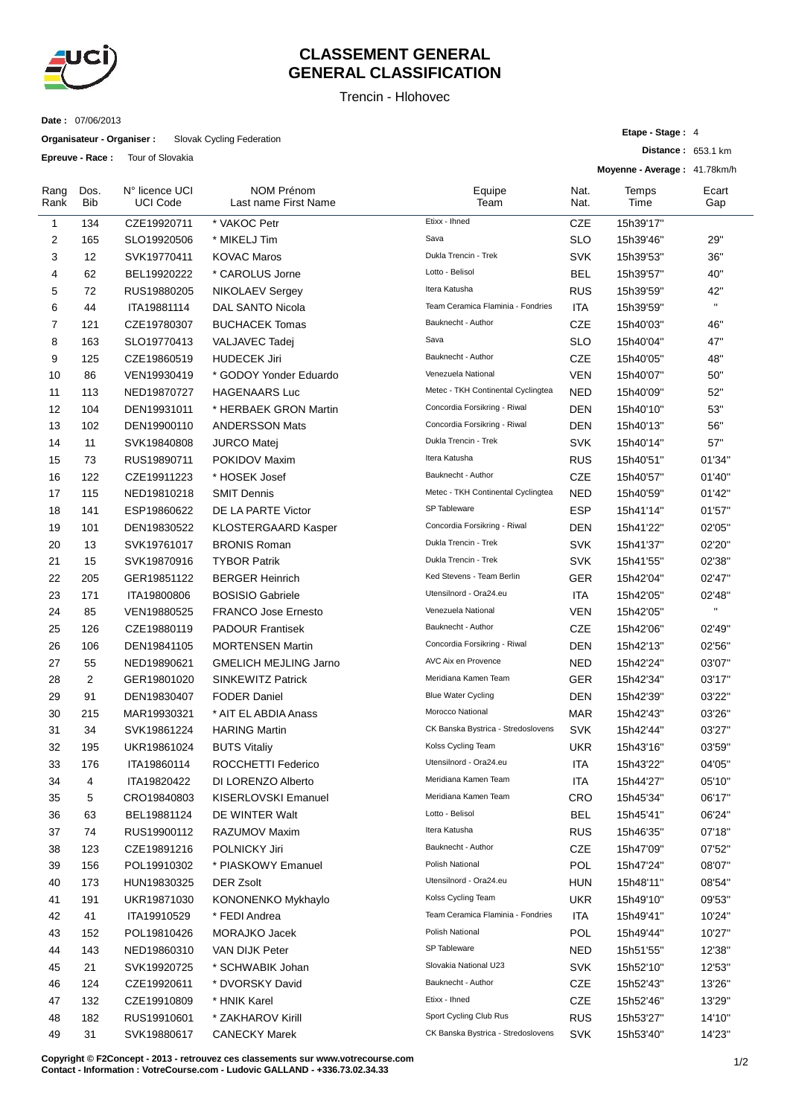

## **CLASSEMENT GENERAL GENERAL CLASSIFICATION**

Trencin - Hlohovec

**Date :** 07/06/2013

**Organisateur - Organiser :** Slovak Cycling Federation

**Epreuve - Race :** Tour of Slovakia

|              | $\sim$             | <b>NOW OF ORDINAL</b>             |                                           |                                     |              | Moyenne - Average: 41.78km/h |              |
|--------------|--------------------|-----------------------------------|-------------------------------------------|-------------------------------------|--------------|------------------------------|--------------|
| Rang<br>Rank | Dos.<br><b>Bib</b> | N° licence UCI<br><b>UCI Code</b> | <b>NOM Prénom</b><br>Last name First Name | Equipe<br>Team                      | Nat.<br>Nat. | Temps<br>Time                | Ecart<br>Gap |
| 1            | 134                | CZE19920711                       | * VAKOC Petr                              | Etixx - Ihned                       | <b>CZE</b>   | 15h39'17"                    |              |
| 2            | 165                | SLO19920506                       | * MIKELJ Tim                              | Sava                                | <b>SLO</b>   | 15h39'46"                    | 29"          |
| 3            | 12                 | SVK19770411                       | <b>KOVAC Maros</b>                        | Dukla Trencin - Trek                | <b>SVK</b>   | 15h39'53"                    | 36"          |
| 4            | 62                 | BEL19920222                       | * CAROLUS Jorne                           | Lotto - Belisol                     | BEL          | 15h39'57"                    | 40"          |
| 5            | 72                 | RUS19880205                       | NIKOLAEV Sergey                           | Itera Katusha                       | <b>RUS</b>   | 15h39'59"                    | 42"          |
| 6            | 44                 | ITA19881114                       | <b>DAL SANTO Nicola</b>                   | Team Ceramica Flaminia - Fondries   | <b>ITA</b>   | 15h39'59"                    | $\mathbf{H}$ |
| 7            | 121                | CZE19780307                       | <b>BUCHACEK Tomas</b>                     | Bauknecht - Author                  | <b>CZE</b>   | 15h40'03"                    | 46"          |
| 8            | 163                | SLO19770413                       | VALJAVEC Tadej                            | Sava                                | <b>SLO</b>   | 15h40'04"                    | 47"          |
| 9            | 125                | CZE19860519                       | <b>HUDECEK Jiri</b>                       | Bauknecht - Author                  | <b>CZE</b>   | 15h40'05"                    | 48"          |
| 10           | 86                 | VEN19930419                       | * GODOY Yonder Eduardo                    | Venezuela National                  | <b>VEN</b>   | 15h40'07"                    | 50"          |
| 11           | 113                | NED19870727                       | <b>HAGENAARS Luc</b>                      | Metec - TKH Continental Cyclingtea  | <b>NED</b>   | 15h40'09"                    | 52"          |
| 12           | 104                | DEN19931011                       | * HERBAEK GRON Martin                     | Concordia Forsikring - Riwal        | <b>DEN</b>   | 15h40'10"                    | 53"          |
| 13           | 102                | DEN19900110                       | <b>ANDERSSON Mats</b>                     | Concordia Forsikring - Riwal        | <b>DEN</b>   | 15h40'13"                    | 56"          |
| 14           | 11                 | SVK19840808                       | <b>JURCO Matej</b>                        | Dukla Trencin - Trek                | <b>SVK</b>   | 15h40'14"                    | 57"          |
| 15           | 73                 | RUS19890711                       | POKIDOV Maxim                             | Itera Katusha                       | <b>RUS</b>   | 15h40'51"                    | 01'34"       |
| 16           | 122                | CZE19911223                       | * HOSEK Josef                             | Bauknecht - Author                  | <b>CZE</b>   | 15h40'57"                    | 01'40"       |
| 17           | 115                | NED19810218                       | <b>SMIT Dennis</b>                        | Metec - TKH Continental Cyclingtea  | <b>NED</b>   | 15h40'59"                    | 01'42"       |
| 18           | 141                | ESP19860622                       | DE LA PARTE Victor                        | SP Tableware                        | <b>ESP</b>   | 15h41'14"                    | 01'57"       |
| 19           | 101                | DEN19830522                       | <b>KLOSTERGAARD Kasper</b>                | Concordia Forsikring - Riwal        | <b>DEN</b>   | 15h41'22"                    | 02'05"       |
| 20           | 13                 | SVK19761017                       | <b>BRONIS Roman</b>                       | Dukla Trencin - Trek                | <b>SVK</b>   | 15h41'37"                    | 02'20"       |
| 21           | 15                 | SVK19870916                       | <b>TYBOR Patrik</b>                       | Dukla Trencin - Trek                | <b>SVK</b>   | 15h41'55"                    | 02'38"       |
| 22           | 205                | GER19851122                       | <b>BERGER Heinrich</b>                    | Ked Stevens - Team Berlin           | <b>GER</b>   | 15h42'04"                    | 02'47"       |
| 23           | 171                | ITA19800806                       | <b>BOSISIO Gabriele</b>                   | Utensilnord - Ora24.eu              | ITA          | 15h42'05"                    | 02'48"       |
| 24           | 85                 | VEN19880525                       | <b>FRANCO Jose Ernesto</b>                | Venezuela National                  | VEN          | 15h42'05"                    | $\mathbf{H}$ |
| 25           | 126                | CZE19880119                       | <b>PADOUR Frantisek</b>                   | Bauknecht - Author                  | <b>CZE</b>   | 15h42'06"                    | 02'49"       |
| 26           | 106                | DEN19841105                       | <b>MORTENSEN Martin</b>                   | Concordia Forsikring - Riwal        | <b>DEN</b>   | 15h42'13"                    | 02'56"       |
| 27           | 55                 | NED19890621                       | <b>GMELICH MEJLING Jarno</b>              | AVC Aix en Provence                 | <b>NED</b>   | 15h42'24"                    | 03'07"       |
| 28           | 2                  | GER19801020                       | <b>SINKEWITZ Patrick</b>                  | Meridiana Kamen Team                | <b>GER</b>   | 15h42'34"                    | 03'17"       |
| 29           | 91                 | DEN19830407                       | <b>FODER Daniel</b>                       | <b>Blue Water Cycling</b>           | <b>DEN</b>   | 15h42'39"                    | 03'22"       |
| 30           | 215                | MAR19930321                       | * AIT EL ABDIA Anass                      | Morocco National                    | <b>MAR</b>   | 15h42'43"                    | 03'26"       |
| 31           | 34                 | SVK19861224                       | <b>HARING Martin</b>                      | CK Banska Bystrica - Stredoslovens  | <b>SVK</b>   | 15h42'44"                    | 03'27"       |
| 32           | 195                | UKR19861024                       | <b>BUTS Vitaliy</b>                       | Kolss Cycling Team                  | <b>UKR</b>   | 15h43'16"                    | 03'59"       |
| 33           | 176                | ITA19860114                       | ROCCHETTI Federico                        | Utensilnord - Ora24.eu              | <b>ITA</b>   | 15h43'22"                    | 04'05"       |
| 34           | 4                  | ITA19820422                       | DI LORENZO Alberto                        | Meridiana Kamen Team                | ITA          | 15h44'27"                    | 05'10"       |
| 35           | 5                  | CRO19840803                       | KISERLOVSKI Emanuel                       | Meridiana Kamen Team                | <b>CRO</b>   | 15h45'34"                    | 06'17"       |
| 36           | 63                 | BEL19881124                       | DE WINTER Walt                            | Lotto - Belisol                     | <b>BEL</b>   | 15h45'41"                    | 06'24"       |
| 37           | 74                 | RUS19900112                       | RAZUMOV Maxim                             | Itera Katusha                       | <b>RUS</b>   | 15h46'35"                    | 07'18"       |
| 38           | 123                | CZE19891216                       | POLNICKY Jiri                             | Bauknecht - Author                  | CZE          | 15h47'09"                    | 07'52"       |
| 39           | 156                | POL19910302                       | * PIASKOWY Emanuel                        | Polish National                     | POL          | 15h47'24"                    | 08'07"       |
| 40           | 173                | HUN19830325                       | DER Zsolt                                 | Utensilnord - Ora24.eu              | <b>HUN</b>   | 15h48'11"                    | 08'54"       |
| 41           | 191                | UKR19871030                       | KONONENKO Mykhaylo                        | Kolss Cycling Team                  | <b>UKR</b>   | 15h49'10"                    | 09'53"       |
| 42           | 41                 | ITA19910529                       | * FEDI Andrea                             | Team Ceramica Flaminia - Fondries   | ITA          | 15h49'41"                    | 10'24"       |
| 43           | 152                | POL19810426                       | MORAJKO Jacek                             | Polish National                     | POL          | 15h49'44"                    | 10'27"       |
| 44           | 143                | NED19860310                       | VAN DIJK Peter                            | SP Tableware                        | <b>NED</b>   | 15h51'55"                    | 12'38"       |
| 45           | 21                 | SVK19920725                       | * SCHWABIK Johan                          | Slovakia National U23               | <b>SVK</b>   | 15h52'10"                    | 12'53"       |
| 46           | 124                | CZE19920611                       | * DVORSKY David                           | Bauknecht - Author<br>Etixx - Ihned | CZE          | 15h52'43"                    | 13'26"       |
| 47           | 132                | CZE19910809                       | * HNIK Karel                              |                                     | CZE          | 15h52'46"                    | 13'29"       |
| 48           | 182                | RUS19910601                       | * ZAKHAROV Kirill                         | Sport Cycling Club Rus              | <b>RUS</b>   | 15h53'27"                    | 14'10"       |
| 49           | 31                 | SVK19880617                       | <b>CANECKY Marek</b>                      | CK Banska Bystrica - Stredoslovens  | <b>SVK</b>   | 15h53'40"                    | 14'23"       |

**Copyright © F2Concept - 2013 - retrouvez ces classements sur www.votrecourse.com Contact - Information : VotreCourse.com - Ludovic GALLAND - +336.73.02.34.33**

**Etape - Stage :** 4

**Distance :** 653.1 km